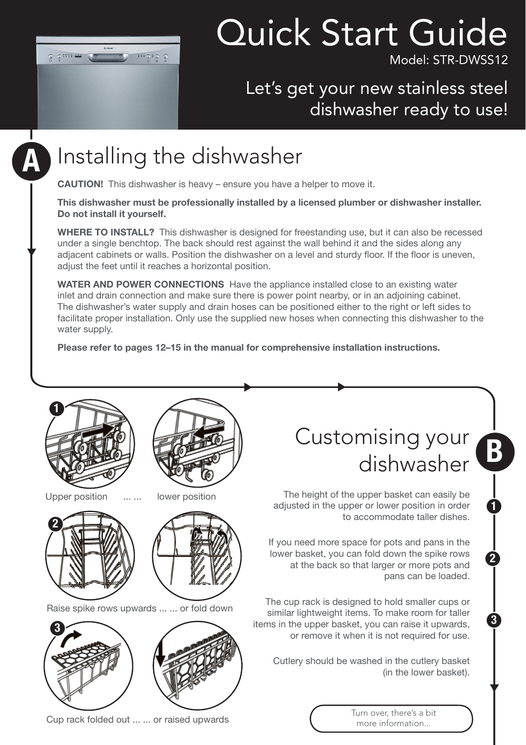

# Quick Start Guide

Model: STR-DWSS12

#### Let's get your new stainless steel dishwasher ready to use!

## A

### Installing the dishwasher

**CAUTION!** This dishwasher is heavy – ensure you have a helper to move it.

**This dishwasher must be professionally installed by a licensed plumber or dishwasher installer. Do not install it yourself.** 

**WHERE TO INSTALL?** This dishwasher is designed for freestanding use, but it can also be recessed under a single benchtop. The back should rest against the wall behind it and the sides along any adjacent cabinets or walls. Position the dishwasher on a level and sturdy floor. If the floor is uneven, adjust the feet until it reaches a horizontal position.

**WATER AND POWER CONNECTIONS** Have the appliance installed close to an existing water inlet and drain connection and make sure there is power point nearby, or in an adjoining cabinet. The dishwasher's water supply and drain hoses can be positioned either to the right or left sides to facilitate proper installation. Only use the supplied new hoses when connecting this dishwasher to the water supply.

**Please refer to pages 12–15 in the manual for comprehensive installation instructions.**



Upper position ... ... lower position

2





Raise spike rows upwards ... ... or fold down



Customising your mising your<br>dishwasher

1

2

3

The height of the upper basket can easily be adjusted in the upper or lower position in order to accommodate taller dishes.

If you need more space for pots and pans in the lower basket, you can fold down the spike rows at the back so that larger or more pots and pans can be loaded.

The cup rack is designed to hold smaller cups or similar lightweight items. To make room for taller items in the upper basket, you can raise it upwards, or remove it when it is not required for use.

Cutlery should be washed in the cutlery basket (in the lower basket).

> Turn over, there's a bit more information...

Cup rack folded out ... ... or raised upwards